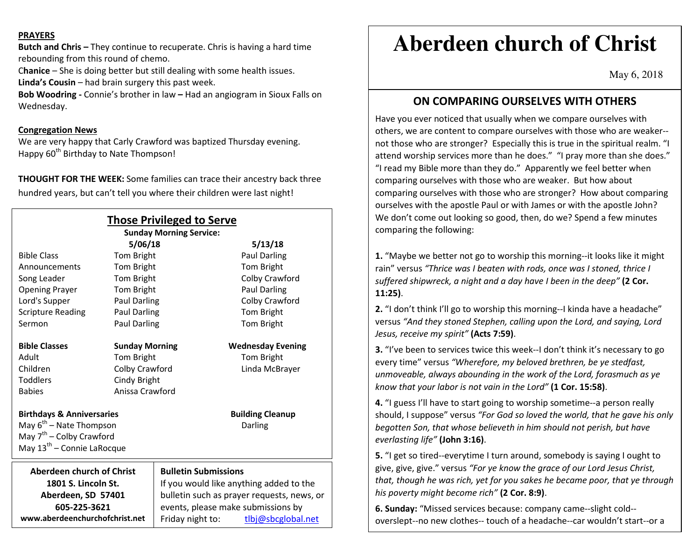#### **PRAYERS**

**Butch and Chris –** They continue to recuperate. Chris is having a hard time rebounding from this round of chemo.

C**hanice** – She is doing better but still dealing with some health issues. **Linda's Cousin** – had brain surgery this past week.

**Bob Woodring -** Connie's brother in law **–** Had an angiogram in Sioux Falls on Wednesday.

#### **Congregation News**

 We are very happy that Carly Crawford was baptized Thursday evening. Happy 60<sup>th</sup> Birthday to Nate Thompson!

**THOUGHT FOR THE WEEK:** Some families can trace their ancestry back three hundred years, but can't tell you where their children were last night!

| <b>Those Privileged to Serve</b><br><b>Sunday Morning Service:</b>                                                                                     |                     |                                            |                                    |
|--------------------------------------------------------------------------------------------------------------------------------------------------------|---------------------|--------------------------------------------|------------------------------------|
|                                                                                                                                                        | 5/06/18             |                                            | 5/13/18                            |
| <b>Bible Class</b>                                                                                                                                     | Tom Bright          |                                            | <b>Paul Darling</b>                |
| Announcements                                                                                                                                          | <b>Tom Bright</b>   |                                            | <b>Tom Bright</b>                  |
| Song Leader                                                                                                                                            | Tom Bright          |                                            | Colby Crawford                     |
| <b>Opening Prayer</b>                                                                                                                                  | Tom Bright          |                                            | Paul Darling                       |
| Lord's Supper                                                                                                                                          | <b>Paul Darling</b> |                                            | Colby Crawford                     |
| <b>Scripture Reading</b>                                                                                                                               | <b>Paul Darling</b> |                                            | Tom Bright                         |
| Sermon                                                                                                                                                 | <b>Paul Darling</b> |                                            | Tom Bright                         |
| <b>Bible Classes</b><br><b>Wednesday Evening</b><br><b>Sunday Morning</b>                                                                              |                     |                                            |                                    |
| Adult                                                                                                                                                  |                     |                                            |                                    |
|                                                                                                                                                        | Tom Bright          |                                            | Tom Bright                         |
| Children                                                                                                                                               | Colby Crawford      |                                            | Linda McBrayer                     |
| <b>Toddlers</b>                                                                                                                                        | Cindy Bright        |                                            |                                    |
| <b>Babies</b>                                                                                                                                          |                     | Anissa Crawford                            |                                    |
| <b>Birthdays &amp; Anniversaries</b><br>May $6^{th}$ – Nate Thompson<br>May 7 <sup>th</sup> - Colby Crawford<br>May 13 <sup>th</sup> – Connie LaRocque |                     |                                            | <b>Building Cleanup</b><br>Darling |
| Aberdeen church of Christ                                                                                                                              |                     | <b>Bulletin Submissions</b>                |                                    |
| 1801 S. Lincoln St.                                                                                                                                    |                     | If you would like anything added to the    |                                    |
| Aberdeen, SD 57401                                                                                                                                     |                     | bulletin such as prayer requests, news, or |                                    |
| 605-225-3621                                                                                                                                           |                     | events, please make submissions by         |                                    |
| www.aberdeenchurchofchrist.net                                                                                                                         |                     | Friday night to:                           | tlbj@sbcglobal.net                 |

# **Aberdeen church of Christ**

May 6, 2018

## **ON COMPARING OURSELVES WITH OTHERS**

Have you ever noticed that usually when we compare ourselves with others, we are content to compare ourselves with those who are weaker-not those who are stronger? Especially this is true in the spiritual realm. "I attend worship services more than he does." "I pray more than she does." "I read my Bible more than they do." Apparently we feel better when comparing ourselves with those who are weaker. But how about comparing ourselves with those who are stronger? How about comparing ourselves with the apostle Paul or with James or with the apostle John? We don't come out looking so good, then, do we? Spend a few minutes comparing the following:

**1.** "Maybe we better not go to worship this morning--it looks like it might rain" versus *"Thrice was I beaten with rods, once was I stoned, thrice I suffered shipwreck, a night and a day have I been in the deep"* **(2 Cor. 11:25)**.

**2.** "I don't think I'll go to worship this morning--I kinda have a headache" versus *"And they stoned Stephen, calling upon the Lord, and saying, Lord Jesus, receive my spirit"* **(Acts 7:59)**.

**3.** "I've been to services twice this week--I don't think it's necessary to go every time" versus *"Wherefore, my beloved brethren, be ye stedfast, unmoveable, always abounding in the work of the Lord, forasmuch as ye know that your labor is not vain in the Lord"* **(1 Cor. 15:58)**.

**4.** "I guess I'll have to start going to worship sometime--a person really should, I suppose" versus *"For God so loved the world, that he gave his only begotten Son, that whose believeth in him should not perish, but have everlasting life"* **(John 3:16)**.

**5.** "I get so tired--everytime I turn around, somebody is saying I ought to give, give, give." versus *"For ye know the grace of our Lord Jesus Christ, that, though he was rich, yet for you sakes he became poor, that ye through his poverty might become rich"* **(2 Cor. 8:9)**.

**6. Sunday:** "Missed services because: company came--slight cold-overslept--no new clothes-- touch of a headache--car wouldn't start--or a

hundred other like flimsy excuses." **Monday:** "On the job at 8:00 a.m. in